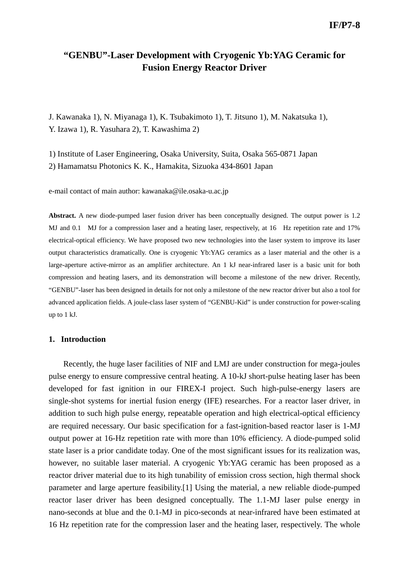# **"GENBU"-Laser Development with Cryogenic Yb:YAG Ceramic for Fusion Energy Reactor Driver**

J. Kawanaka 1), N. Miyanaga 1), K. Tsubakimoto 1), T. Jitsuno 1), M. Nakatsuka 1), Y. Izawa 1), R. Yasuhara 2), T. Kawashima 2)

1) Institute of Laser Engineering, Osaka University, Suita, Osaka 565-0871 Japan 2) Hamamatsu Photonics K. K., Hamakita, Sizuoka 434-8601 Japan

e-mail contact of main author: kawanaka@ile.osaka-u.ac.jp

**Abstract.** A new diode-pumped laser fusion driver has been conceptually designed. The output power is 1.2 MJ and 0.1 MJ for a compression laser and a heating laser, respectively, at 16 Hz repetition rate and 17% electrical-optical efficiency. We have proposed two new technologies into the laser system to improve its laser output characteristics dramatically. One is cryogenic Yb:YAG ceramics as a laser material and the other is a large-aperture active-mirror as an amplifier architecture. An 1 kJ near-infrared laser is a basic unit for both compression and heating lasers, and its demonstration will become a milestone of the new driver. Recently, "GENBU"-laser has been designed in details for not only a milestone of the new reactor driver but also a tool for advanced application fields. A joule-class laser system of "GENBU-Kid" is under construction for power-scaling up to 1 kJ.

#### **1. Introduction**

Recently, the huge laser facilities of NIF and LMJ are under construction for mega-joules pulse energy to ensure compressive central heating. A 10-kJ short-pulse heating laser has been developed for fast ignition in our FIREX-I project. Such high-pulse-energy lasers are single-shot systems for inertial fusion energy (IFE) researches. For a reactor laser driver, in addition to such high pulse energy, repeatable operation and high electrical-optical efficiency are required necessary. Our basic specification for a fast-ignition-based reactor laser is 1-MJ output power at 16-Hz repetition rate with more than 10% efficiency. A diode-pumped solid state laser is a prior candidate today. One of the most significant issues for its realization was, however, no suitable laser material. A cryogenic Yb:YAG ceramic has been proposed as a reactor driver material due to its high tunability of emission cross section, high thermal shock parameter and large aperture feasibility.[1] Using the material, a new reliable diode-pumped reactor laser driver has been designed conceptually. The 1.1-MJ laser pulse energy in nano-seconds at blue and the 0.1-MJ in pico-seconds at near-infrared have been estimated at 16 Hz repetition rate for the compression laser and the heating laser, respectively. The whole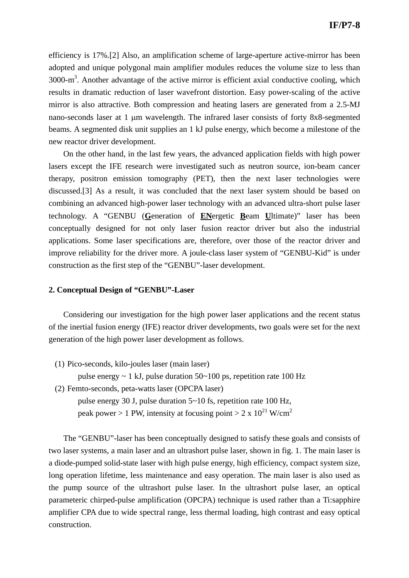efficiency is 17%.[2] Also, an amplification scheme of large-aperture active-mirror has been adopted and unique polygonal main amplifier modules reduces the volume size to less than  $3000 \text{--} \text{m}^3$ . Another advantage of the active mirror is efficient axial conductive cooling, which results in dramatic reduction of laser wavefront distortion. Easy power-scaling of the active mirror is also attractive. Both compression and heating lasers are generated from a 2.5-MJ nano-seconds laser at 1 μm wavelength. The infrared laser consists of forty 8x8-segmented beams. A segmented disk unit supplies an 1 kJ pulse energy, which become a milestone of the new reactor driver development.

On the other hand, in the last few years, the advanced application fields with high power lasers except the IFE research were investigated such as neutron source, ion-beam cancer therapy, positron emission tomography (PET), then the next laser technologies were discussed.[3] As a result, it was concluded that the next laser system should be based on combining an advanced high-power laser technology with an advanced ultra-short pulse laser technology. A "GENBU (**G**eneration of **EN**ergetic **B**eam **U**ltimate)" laser has been conceptually designed for not only laser fusion reactor driver but also the industrial applications. Some laser specifications are, therefore, over those of the reactor driver and improve reliability for the driver more. A joule-class laser system of "GENBU-Kid" is under construction as the first step of the "GENBU"-laser development.

### **2. Conceptual Design of "GENBU"-Laser**

Considering our investigation for the high power laser applications and the recent status of the inertial fusion energy (IFE) reactor driver developments, two goals were set for the next generation of the high power laser development as follows.

(1) Pico-seconds, kilo-joules laser (main laser)

pulse energy  $\sim 1$  kJ, pulse duration 50 $\sim$ 100 ps, repetition rate 100 Hz

- (2) Femto-seconds, peta-watts laser (OPCPA laser)
	- pulse energy 30 J, pulse duration 5~10 fs, repetition rate 100 Hz, peak power > 1 PW, intensity at focusing point > 2 x  $10^{21}$  W/cm<sup>2</sup>

The "GENBU"-laser has been conceptually designed to satisfy these goals and consists of two laser systems, a main laser and an ultrashort pulse laser, shown in fig. 1. The main laser is a diode-pumped solid-state laser with high pulse energy, high efficiency, compact system size, long operation lifetime, less maintenance and easy operation. The main laser is also used as the pump source of the ultrashort pulse laser. In the ultrashort pulse laser, an optical parameteric chirped-pulse amplification (OPCPA) technique is used rather than a Ti:sapphire amplifier CPA due to wide spectral range, less thermal loading, high contrast and easy optical construction.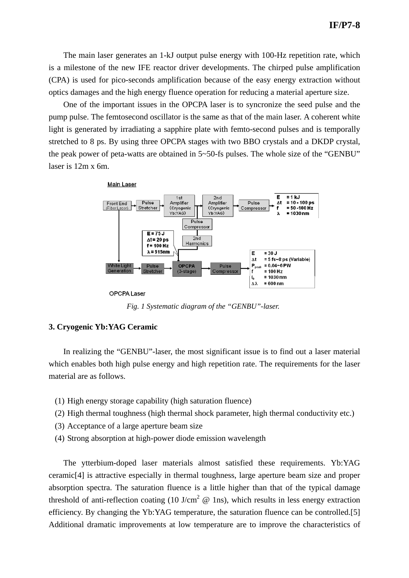The main laser generates an 1-kJ output pulse energy with 100-Hz repetition rate, which is a milestone of the new IFE reactor driver developments. The chirped pulse amplification (CPA) is used for pico-seconds amplification because of the easy energy extraction without optics damages and the high energy fluence operation for reducing a material aperture size.

One of the important issues in the OPCPA laser is to syncronize the seed pulse and the pump pulse. The femtosecond oscillator is the same as that of the main laser. A coherent white light is generated by irradiating a sapphire plate with femto-second pulses and is temporally stretched to 8 ps. By using three OPCPA stages with two BBO crystals and a DKDP crystal, the peak power of peta-watts are obtained in 5~50-fs pulses. The whole size of the "GENBU" laser is 12m x 6m.



**OPCPA Laser** 

*Fig. 1 Systematic diagram of the "GENBU"-laser.* 

#### **3. Cryogenic Yb:YAG Ceramic**

In realizing the "GENBU"-laser, the most significant issue is to find out a laser material which enables both high pulse energy and high repetition rate. The requirements for the laser material are as follows.

- (1) High energy storage capability (high saturation fluence)
- (2) High thermal toughness (high thermal shock parameter, high thermal conductivity etc.)
- (3) Acceptance of a large aperture beam size
- (4) Strong absorption at high-power diode emission wavelength

The ytterbium-doped laser materials almost satisfied these requirements. Yb:YAG ceramic[4] is attractive especially in thermal toughness, large aperture beam size and proper absorption spectra. The saturation fluence is a little higher than that of the typical damage threshold of anti-reflection coating (10 J/cm<sup>2</sup>  $\omega$  1ns), which results in less energy extraction efficiency. By changing the Yb:YAG temperature, the saturation fluence can be controlled.[5] Additional dramatic improvements at low temperature are to improve the characteristics of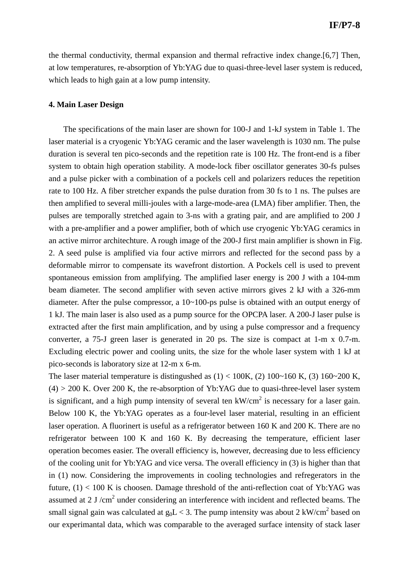the thermal conductivity, thermal expansion and thermal refractive index change.[6,7] Then, at low temperatures, re-absorption of Yb:YAG due to quasi-three-level laser system is reduced, which leads to high gain at a low pump intensity.

#### **4. Main Laser Design**

The specifications of the main laser are shown for 100-J and 1-kJ system in Table 1. The laser material is a cryogenic Yb:YAG ceramic and the laser wavelength is 1030 nm. The pulse duration is several ten pico-seconds and the repetition rate is 100 Hz. The front-end is a fiber system to obtain high operation stability. A mode-lock fiber oscillator generates 30-fs pulses and a pulse picker with a combination of a pockels cell and polarizers reduces the repetition rate to 100 Hz. A fiber stretcher expands the pulse duration from 30 fs to 1 ns. The pulses are then amplified to several milli-joules with a large-mode-area (LMA) fiber amplifier. Then, the pulses are temporally stretched again to 3-ns with a grating pair, and are amplified to 200 J with a pre-amplifier and a power amplifier, both of which use cryogenic Yb:YAG ceramics in an active mirror architechture. A rough image of the 200-J first main amplifier is shown in Fig. 2. A seed pulse is amplified via four active mirrors and reflected for the second pass by a deformable mirror to compensate its wavefront distortion. A Pockels cell is used to prevent spontaneous emission from amplifying. The amplified laser energy is 200 J with a 104-mm beam diameter. The second amplifier with seven active mirrors gives 2 kJ with a 326-mm diameter. After the pulse compressor, a 10~100-ps pulse is obtained with an output energy of 1 kJ. The main laser is also used as a pump source for the OPCPA laser. A 200-J laser pulse is extracted after the first main amplification, and by using a pulse compressor and a frequency converter, a 75-J green laser is generated in 20 ps. The size is compact at 1-m x 0.7-m. Excluding electric power and cooling units, the size for the whole laser system with 1 kJ at pico-seconds is laboratory size at 12-m x 6-m.

The laser material temperature is distingushed as  $(1) < 100K$ ,  $(2) 100~160 K$ ,  $(3) 160~200 K$ ,  $(4)$  > 200 K. Over 200 K, the re-absorption of Yb:YAG due to quasi-three-level laser system is significant, and a high pump intensity of several ten  $kW/cm<sup>2</sup>$  is necessary for a laser gain. Below 100 K, the Yb:YAG operates as a four-level laser material, resulting in an efficient laser operation. A fluorinert is useful as a refrigerator between 160 K and 200 K. There are no refrigerator between 100 K and 160 K. By decreasing the temperature, efficient laser operation becomes easier. The overall efficiency is, however, decreasing due to less efficiency of the cooling unit for Yb:YAG and vice versa. The overall efficiency in (3) is higher than that in (1) now. Considering the improvements in cooling technologies and refregerators in the future,  $(1)$  < 100 K is choosen. Damage threshold of the anti-reflection coat of Yb:YAG was assumed at 2 J/ $\text{cm}^2$  under considering an interference with incident and reflected beams. The small signal gain was calculated at  $g_0L < 3$ . The pump intensity was about 2 kW/cm<sup>2</sup> based on our experimantal data, which was comparable to the averaged surface intensity of stack laser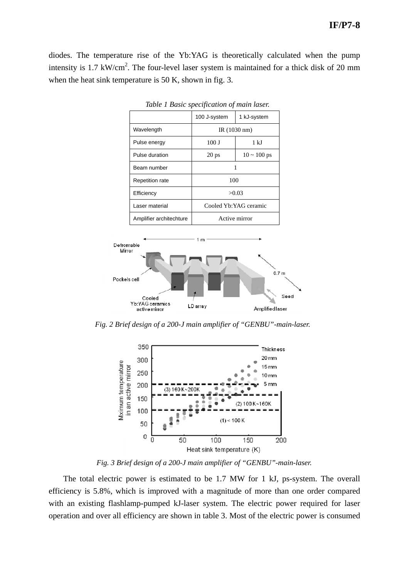diodes. The temperature rise of the Yb:YAG is theoretically calculated when the pump intensity is 1.7 kW/cm<sup>2</sup>. The four-level laser system is maintained for a thick disk of 20 mm when the heat sink temperature is 50 K, shown in fig. 3.

|                         | 100 J-system          | 1 kJ-system              |
|-------------------------|-----------------------|--------------------------|
| Wavelength              | IR(1030 nm)           |                          |
| Pulse energy            | 100J                  | 1 kJ                     |
| Pulse duration          | 20 <sub>ps</sub>      | $10 \sim 100 \text{ ps}$ |
| Beam number             |                       |                          |
| <b>Repetition rate</b>  | 100                   |                          |
| Efficiency              | >0.03                 |                          |
| Laser material          | Cooled Yb:YAG ceramic |                          |
| Amplifier architechture | Active mirror         |                          |

*Table 1 Basic specification of main laser.* 



*Fig. 2 Brief design of a 200-J main amplifier of "GENBU"-main-laser.* 



*Fig. 3 Brief design of a 200-J main amplifier of "GENBU"-main-laser.* 

The total electric power is estimated to be 1.7 MW for 1 kJ, ps-system. The overall efficiency is 5.8%, which is improved with a magnitude of more than one order compared with an existing flashlamp-pumped kJ-laser system. The electric power required for laser operation and over all efficiency are shown in table 3. Most of the electric power is consumed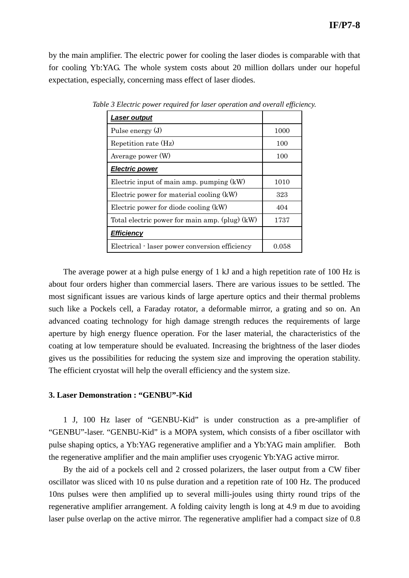by the main amplifier. The electric power for cooling the laser diodes is comparable with that for cooling Yb:YAG. The whole system costs about 20 million dollars under our hopeful expectation, especially, concerning mass effect of laser diodes.

| <u>Laser output</u>                              |       |
|--------------------------------------------------|-------|
| Pulse energy (J)                                 | 1000  |
| Repetition rate (Hz)                             | 100   |
| Average power (W)                                | 100   |
| <b>Electric power</b>                            |       |
| Electric input of main amp. pumping $(kW)$       | 1010  |
| Electric power for material cooling (kW)         | 323   |
| Electric power for diode cooling (kW)            | 404   |
| Total electric power for main amp. (plug) $(kW)$ | 1737  |
| <b>Efficiency</b>                                |       |
| Electrical - laser power conversion efficiency   | 0.058 |

*Table 3 Electric power required for laser operation and overall efficiency.* 

The average power at a high pulse energy of 1 kJ and a high repetition rate of 100 Hz is about four orders higher than commercial lasers. There are various issues to be settled. The most significant issues are various kinds of large aperture optics and their thermal problems such like a Pockels cell, a Faraday rotator, a deformable mirror, a grating and so on. An advanced coating technology for high damage strength reduces the requirements of large aperture by high energy fluence operation. For the laser material, the characteristics of the coating at low temperature should be evaluated. Increasing the brightness of the laser diodes gives us the possibilities for reducing the system size and improving the operation stability. The efficient cryostat will help the overall efficiency and the system size.

## **3. Laser Demonstration : "GENBU"-Kid**

1 J, 100 Hz laser of "GENBU-Kid" is under construction as a pre-amplifier of "GENBU"-laser. "GENBU-Kid" is a MOPA system, which consists of a fiber oscillator with pulse shaping optics, a Yb:YAG regenerative amplifier and a Yb:YAG main amplifier. Both the regenerative amplifier and the main amplifier uses cryogenic Yb:YAG active mirror.

By the aid of a pockels cell and 2 crossed polarizers, the laser output from a CW fiber oscillator was sliced with 10 ns pulse duration and a repetition rate of 100 Hz. The produced 10ns pulses were then amplified up to several milli-joules using thirty round trips of the regenerative amplifier arrangement. A folding caivity length is long at 4.9 m due to avoiding laser pulse overlap on the active mirror. The regenerative amplifier had a compact size of 0.8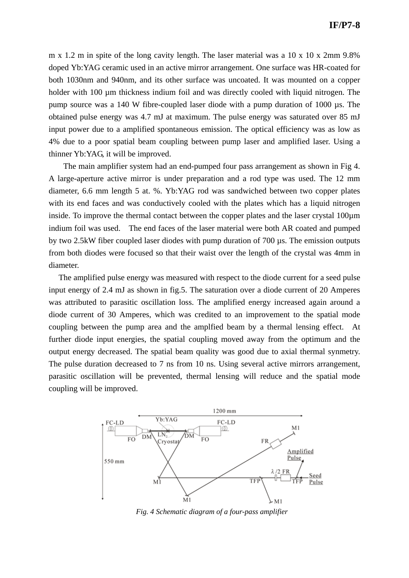m x 1.2 m in spite of the long cavity length. The laser material was a 10 x 10 x 2mm 9.8% doped Yb:YAG ceramic used in an active mirror arrangement. One surface was HR-coated for both 1030nm and 940nm, and its other surface was uncoated. It was mounted on a copper holder with 100 µm thickness indium foil and was directly cooled with liquid nitrogen. The pump source was a 140 W fibre-coupled laser diode with a pump duration of 1000 µs. The obtained pulse energy was 4.7 mJ at maximum. The pulse energy was saturated over 85 mJ input power due to a amplified spontaneous emission. The optical efficiency was as low as 4% due to a poor spatial beam coupling between pump laser and amplified laser. Using a thinner Yb:YAG, it will be improved.

The main amplifier system had an end-pumped four pass arrangement as shown in Fig 4. A large-aperture active mirror is under preparation and a rod type was used. The 12 mm diameter, 6.6 mm length 5 at. %. Yb:YAG rod was sandwiched between two copper plates with its end faces and was conductively cooled with the plates which has a liquid nitrogen inside. To improve the thermal contact between the copper plates and the laser crystal 100µm indium foil was used. The end faces of the laser material were both AR coated and pumped by two 2.5kW fiber coupled laser diodes with pump duration of 700 µs. The emission outputs from both diodes were focused so that their waist over the length of the crystal was 4mm in diameter.

The amplified pulse energy was measured with respect to the diode current for a seed pulse input energy of 2.4 mJ as shown in fig.5. The saturation over a diode current of 20 Amperes was attributed to parasitic oscillation loss. The amplified energy increased again around a diode current of 30 Amperes, which was credited to an improvement to the spatial mode coupling between the pump area and the amplfied beam by a thermal lensing effect. At further diode input energies, the spatial coupling moved away from the optimum and the output energy decreased. The spatial beam quality was good due to axial thermal synmetry. The pulse duration decreased to 7 ns from 10 ns. Using several active mirrors arrangement, parasitic oscillation will be prevented, thermal lensing will reduce and the spatial mode coupling will be improved.



*Fig. 4 Schematic diagram of a four-pass amplifier*